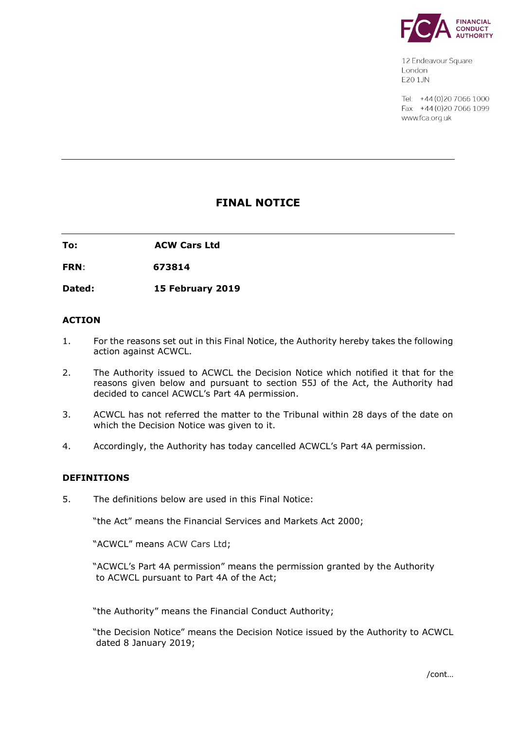

12 Endeavour Square London E201JN

Tel: +44 (0) 20 7066 1000 Fax: +44 (0) 20 7066 1099 www.fca.org.uk

# **FINAL NOTICE**

**To: ACW Cars Ltd**

**FRN**: **673814**

**Dated: 15 February 2019**

## **ACTION**

- 1. For the reasons set out in this Final Notice, the Authority hereby takes the following action against ACWCL.
- 2. The Authority issued to ACWCL the Decision Notice which notified it that for the reasons given below and pursuant to section 55J of the Act, the Authority had decided to cancel ACWCL's Part 4A permission.
- 3. ACWCL has not referred the matter to the Tribunal within 28 days of the date on which the Decision Notice was given to it.
- 4. Accordingly, the Authority has today cancelled ACWCL's Part 4A permission.

#### **DEFINITIONS**

5. The definitions below are used in this Final Notice:

"the Act" means the Financial Services and Markets Act 2000;

"ACWCL" means ACW Cars Ltd;

 "ACWCL's Part 4A permission" means the permission granted by the Authority to ACWCL pursuant to Part 4A of the Act;

"the Authority" means the Financial Conduct Authority;

"the Decision Notice" means the Decision Notice issued by the Authority to ACWCL dated 8 January 2019;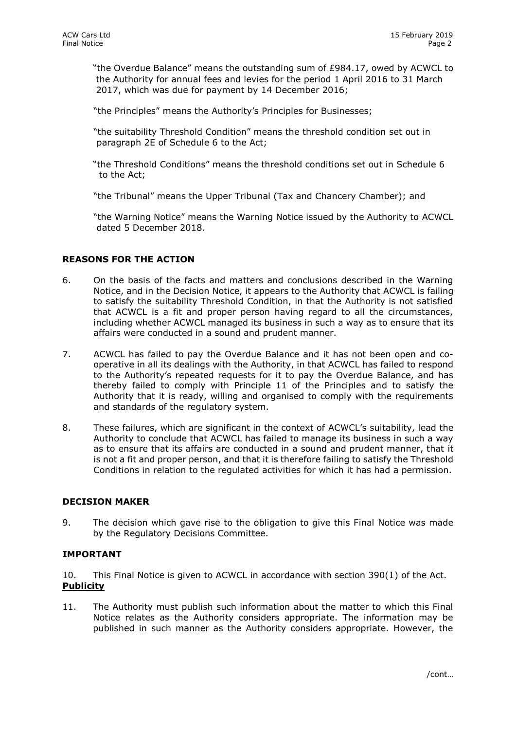"the Overdue Balance" means the outstanding sum of £984.17, owed by ACWCL to the Authority for annual fees and levies for the period 1 April 2016 to 31 March 2017, which was due for payment by 14 December 2016;

"the Principles" means the Authority's Principles for Businesses;

- "the suitability Threshold Condition" means the threshold condition set out in paragraph 2E of Schedule 6 to the Act;
- "the Threshold Conditions" means the threshold conditions set out in Schedule 6 to the Act;

"the Tribunal" means the Upper Tribunal (Tax and Chancery Chamber); and

"the Warning Notice" means the Warning Notice issued by the Authority to ACWCL dated 5 December 2018.

## **REASONS FOR THE ACTION**

- 6. On the basis of the facts and matters and conclusions described in the Warning Notice, and in the Decision Notice, it appears to the Authority that ACWCL is failing to satisfy the suitability Threshold Condition, in that the Authority is not satisfied that ACWCL is a fit and proper person having regard to all the circumstances, including whether ACWCL managed its business in such a way as to ensure that its affairs were conducted in a sound and prudent manner.
- 7. ACWCL has failed to pay the Overdue Balance and it has not been open and cooperative in all its dealings with the Authority, in that ACWCL has failed to respond to the Authority's repeated requests for it to pay the Overdue Balance, and has thereby failed to comply with Principle 11 of the Principles and to satisfy the Authority that it is ready, willing and organised to comply with the requirements and standards of the regulatory system.
- 8. These failures, which are significant in the context of ACWCL's suitability, lead the Authority to conclude that ACWCL has failed to manage its business in such a way as to ensure that its affairs are conducted in a sound and prudent manner, that it is not a fit and proper person, and that it is therefore failing to satisfy the Threshold Conditions in relation to the regulated activities for which it has had a permission.

#### **DECISION MAKER**

9. The decision which gave rise to the obligation to give this Final Notice was made by the Regulatory Decisions Committee.

## **IMPORTANT**

10. This Final Notice is given to ACWCL in accordance with section 390(1) of the Act. **Publicity** 

11. The Authority must publish such information about the matter to which this Final Notice relates as the Authority considers appropriate. The information may be published in such manner as the Authority considers appropriate. However, the